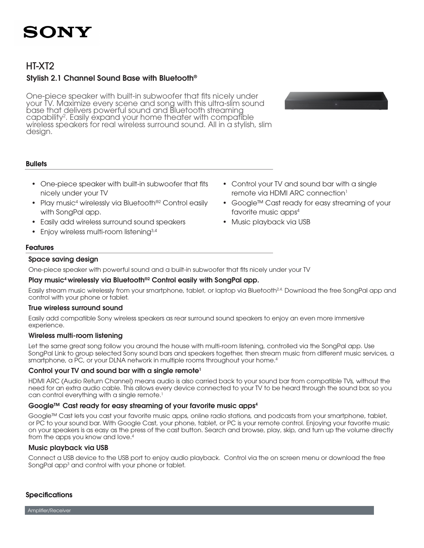

### HT-XT2

### Stylish 2.1 Channel Sound Base with Bluetooth®

One-piece speaker with built-in subwoofer that fits nicely under your TV. Maximize every scene and song with this ultra-slim sound base that delivers powerful sound and Bluetooth streaming capability<sup>2</sup>. Easily expand your home theater with compatible wireless speakers for real wireless surround sound. All in a stylish, slim design.



#### **Bullets**

- One-piece speaker with built-in subwoofer that fits nicely under your TV
- Play music<sup>4</sup> wirelessly via Bluetooth<sup>®2</sup> Control easily with SongPal app.
- Easily add wireless surround sound speakers
- Enjoy wireless multi-room listening3,4
- Control your TV and sound bar with a single remote via HDMI ARC connection<sup>1</sup>
- Google™ Cast ready for easy streaming of your favorite music apps4
- Music playback via USB

#### Features

#### Space saving design

One-piece speaker with powerful sound and a built-in subwoofer that fits nicely under your TV

#### Play music<sup>4</sup> wirelessly via Bluetooth<sup>®2</sup> Control easily with SongPal app.

Easily stream music wirelessly from your smartphone, tablet, or laptop via Bluetooth<sup>24</sup>. Download the free SongPal app and control with your phone or tablet.

#### True wireless surround sound

Easily add compatible Sony wireless speakers as rear surround sound speakers to enjoy an even more immersive experience.

#### Wireless multi-room listening

Let the same great song follow you around the house with multi-room listening, controlled via the SongPal app. Use SongPal Link to group selected Sony sound bars and speakers together, then stream music from different music services, a smartphone, a PC, or your DLNA network in multiple rooms throughout your home.<sup>4</sup>

#### Control your TV and sound bar with a single remote<sup>1</sup>

HDMI ARC (Audio Return Channel) means audio is also carried back to your sound bar from compatible TVs, without the need for an extra audio cable. This allows every device connected to your TV to be heard through the sound bar, so you can control everything with a single remote.<sup>1</sup>

#### Google™ Cast ready for easy streaming of your favorite music apps4

Google™ Cast lets you cast your favorite music apps, online radio stations, and podcasts from your smartphone, tablet, or PC to your sound bar. With Google Cast, your phone, tablet, or PC is your remote control. Enjoying your favorite music on your speakers is as easy as the press of the cast button. Search and browse, play, skip, and turn up the volume directly from the apps you know and love.<sup>4</sup>

#### Music playback via USB

Connect a USB device to the USB port to enjoy audio playback. Control via the on screen menu or download the free SongPal app<sup>3</sup> and control with your phone or tablet.

#### **Specifications**

Amplifier/Receiver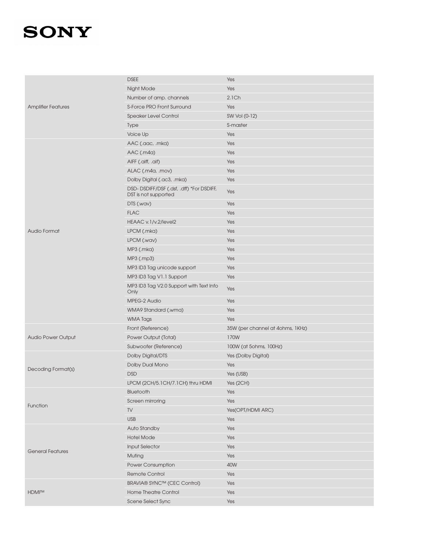| <b>Amplifier Features</b> | <b>DSEE</b>                                                      | Yes                              |
|---------------------------|------------------------------------------------------------------|----------------------------------|
|                           | Night Mode                                                       | Yes                              |
|                           | Number of amp. channels                                          | 2.1Ch                            |
|                           | S-Force PRO Front Surround                                       | Yes                              |
|                           | <b>Speaker Level Control</b>                                     | SW Vol (0-12)                    |
|                           | <b>Type</b>                                                      | S-master                         |
|                           | Voice Up                                                         | Yes                              |
|                           | AAC (.aac, .mka)                                                 | Yes                              |
|                           | AAC (.m4a)                                                       | Yes                              |
|                           | AIFF (.aiff, .aif)                                               | Yes                              |
|                           | ALAC (.m4a, .mov)                                                | Yes                              |
|                           | Dolby Digital (.ac3, .mka)                                       | Yes                              |
|                           | DSD-DSDIFF/DSF (.dsf, .dff) *For DSDIFF,<br>DST is not supported | Yes                              |
|                           | DTS (.wav)                                                       | Yes                              |
|                           | <b>FLAC</b>                                                      | Yes                              |
|                           | HEAAC v.1/v.2/level2                                             | Yes                              |
| Audio Format              | LPCM (.mka)                                                      | Yes                              |
|                           | LPCM (.wav)                                                      | Yes                              |
|                           | MP3 (.mka)                                                       | Yes                              |
|                           | MP3 (.mp3)                                                       | Yes                              |
|                           | MP3 ID3 Tag unicode support                                      | Yes                              |
|                           | MP3 ID3 Tag V1.1 Support                                         | Yes                              |
|                           | MP3 ID3 Tag V2.0 Support with Text Info<br>Only                  | Yes                              |
|                           | MPEG-2 Audio                                                     | Yes                              |
|                           | WMA9 Standard (.wma)                                             | Yes                              |
|                           | <b>WMA Tags</b>                                                  | Yes                              |
|                           | Front (Reference)                                                | 35W (per channel at 4ohms, 1KHz) |
| <b>Audio Power Output</b> | Power Output (Total)                                             | 170W                             |
|                           | Subwoofer (Reference)                                            | 100W (at 5ohms, 100Hz)           |
|                           | Dolby Digital/DTS                                                | Yes (Dolby Digital)              |
|                           | Dolby Dual Mono                                                  | Yes                              |
| Decoding Format(s)        | <b>DSD</b>                                                       | Yes (USB)                        |
|                           | LPCM (2CH/5.1CH/7.1CH) thru HDMI                                 | Yes $(2CH)$                      |
| Function                  | Bluetooth                                                        | Yes                              |
|                           | Screen mirroring                                                 | Yes                              |
|                           | TV                                                               | Yes(OPT/HDMI ARC)                |
|                           | <b>USB</b>                                                       | Yes                              |
|                           | Auto Standby                                                     | Yes                              |
|                           | <b>Hotel Mode</b>                                                | Yes                              |
| <b>General Features</b>   | <b>Input Selector</b>                                            | Yes                              |
|                           | Muting                                                           | Yes                              |
|                           | Power Consumption                                                | 40W                              |
|                           | Remote Control                                                   | Yes                              |
| HDMI™                     | BRAVIA® SYNC™ (CEC Control)                                      | Yes                              |
|                           | <b>Home Theatre Control</b>                                      | Yes                              |
|                           | Scene Select Sync                                                | Yes                              |
|                           |                                                                  |                                  |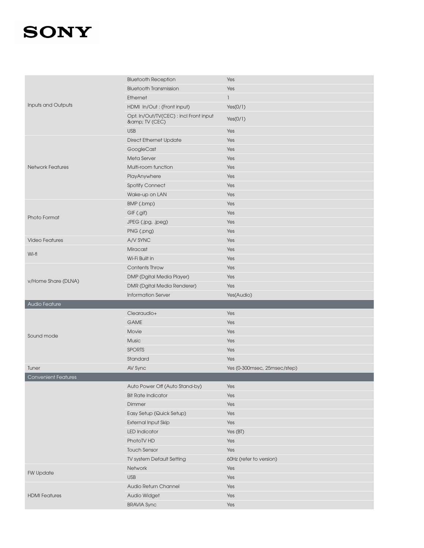|                            | <b>Bluetooth Reception</b>                          | Yes                          |
|----------------------------|-----------------------------------------------------|------------------------------|
| Inputs and Outputs         | <b>Bluetooth Transmission</b>                       | Yes                          |
|                            | Ethernet                                            | 1                            |
|                            | HDMI In/Out: (Front input)                          | Yes(0/1)                     |
|                            | Opt. In/Out/TV(CEC): incl Front input<br>& TV (CEC) | Yes(0/1)                     |
|                            | <b>USB</b>                                          | Yes                          |
| <b>Network Features</b>    | <b>Direct Ethernet Update</b>                       | Yes                          |
|                            | GoogleCast                                          | Yes                          |
|                            | Meta Server                                         | Yes                          |
|                            | Multi-room function                                 | Yes                          |
|                            | PlayAnywhere                                        | Yes                          |
|                            | Spotify Connect                                     | Yes                          |
|                            | Wake-up on LAN                                      | Yes                          |
|                            | BMP (.bmp)                                          | Yes                          |
|                            | GIF (.gif)                                          | Yes                          |
| Photo Format               | JPEG (.jpg, .jpeg)                                  | Yes                          |
|                            | PNG (.png)                                          | Yes                          |
| <b>Video Features</b>      | A/V SYNC                                            | Yes                          |
|                            | Miracast                                            | Yes                          |
| Wi-fi                      | Wi-Fi Built in                                      | Yes                          |
|                            | <b>Contents Throw</b>                               | Yes                          |
|                            | DMP (Dgital Media Player)                           | Yes                          |
| v/Home Share (DLNA)        | DMR (Dgital Media Renderer)                         | Yes                          |
|                            | <b>Information Server</b>                           | Yes(Audio)                   |
|                            |                                                     |                              |
| Audio Feature              |                                                     |                              |
|                            | Clearaudio+                                         | Yes                          |
|                            | <b>GAME</b>                                         | Yes                          |
|                            | Movie                                               | Yes                          |
| Sound mode                 | <b>Music</b>                                        | Yes                          |
|                            | <b>SPORTS</b>                                       | Yes                          |
|                            | Standard                                            | Yes                          |
| Tuner                      | AV Sync                                             | Yes (0-300msec, 25msec/step) |
| <b>Convenient Features</b> |                                                     |                              |
|                            | Auto Power Off (Auto Stand-by)                      | Yes                          |
|                            | <b>Bit Rate Indicator</b>                           | Yes                          |
|                            | Dimmer                                              | Yes                          |
|                            | Easy Setup (Quick Setup)                            | Yes                          |
|                            | <b>External Input Skip</b>                          | Yes                          |
|                            | <b>LED Indicator</b>                                | Yes (BT)                     |
|                            | PhotoTV HD                                          | Yes                          |
|                            | <b>Touch Sensor</b>                                 | Yes                          |
|                            | TV system Default Setting                           | 60Hz (refer to version)      |
|                            | Network                                             | Yes                          |
| <b>FW Update</b>           | <b>USB</b>                                          | Yes                          |
|                            | Audio Return Channel                                | Yes                          |
| <b>HDMI</b> Features       | Audio Widget                                        | Yes                          |
|                            | <b>BRAVIA Sync</b>                                  | Yes                          |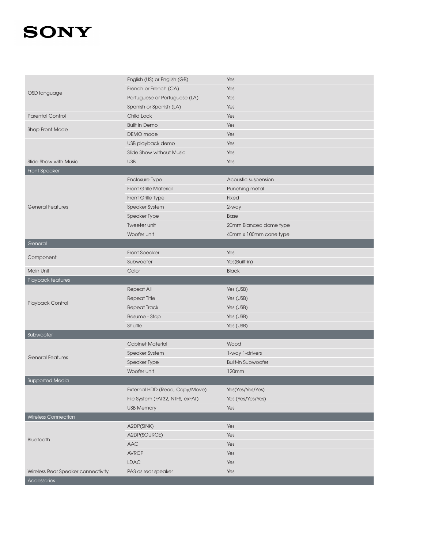|                                    | English (US) or English (GB)     | Yes                       |
|------------------------------------|----------------------------------|---------------------------|
| OSD language                       | French or French (CA)            | Yes                       |
|                                    | Portuguese or Portuguese (LA)    | Yes                       |
|                                    | Spanish or Spanish (LA)          | Yes                       |
| <b>Parental Control</b>            | Child Lock                       | Yes                       |
|                                    | <b>Built in Demo</b>             | Yes                       |
| Shop Front Mode                    | DEMO mode                        | Yes                       |
|                                    | USB playback demo                | Yes                       |
|                                    | Slide Show without Music         | Yes                       |
| Slide Show with Music              | <b>USB</b>                       | Yes                       |
| <b>Front Speaker</b>               |                                  |                           |
|                                    | Enclosure Type                   | Acoustic suspension       |
|                                    | <b>Front Grille Material</b>     | Punching metal            |
|                                    | Front Grille Type                | <b>Fixed</b>              |
| <b>General Features</b>            | Speaker System                   | 2-way                     |
|                                    | Speaker Type                     | <b>Base</b>               |
|                                    | Tweeter unit                     | 20mm Blanced dome type    |
|                                    | Woofer unit                      | 40mm x 100mm cone type    |
| General                            |                                  |                           |
|                                    | <b>Front Speaker</b>             | Yes                       |
| Component                          | Subwoofer                        | Yes(Built-in)             |
| Main Unit                          | Color                            | <b>Black</b>              |
| Playback features                  |                                  |                           |
|                                    | <b>Repeat All</b>                | Yes (USB)                 |
|                                    | <b>Repeat Title</b>              | Yes (USB)                 |
| Playback Control                   | <b>Repeat Track</b>              | Yes (USB)                 |
|                                    | Resume - Stop                    | Yes (USB)                 |
|                                    | Shuffle                          | Yes (USB)                 |
| Subwoofer                          |                                  |                           |
|                                    | <b>Cabinet Material</b>          | Wood                      |
|                                    | Speaker System                   | 1-way 1-drivers           |
| <b>General Features</b>            | Speaker Type                     | <b>Built-in Subwoofer</b> |
|                                    | Woofer unit                      | 120mm                     |
| <b>Supported Media</b>             |                                  |                           |
|                                    | External HDD (Read, Copy/Move)   | Yes(Yes/Yes/Yes)          |
|                                    | File System (FAT32, NTFS, exFAT) | Yes (Yes/Yes/Yes)         |
|                                    | <b>USB Memory</b>                | Yes                       |
| Wireless Connection                |                                  |                           |
|                                    | A2DP(SINK)                       | Yes                       |
|                                    | A2DP(SOURCE)                     | Yes                       |
| Bluetooth                          | AAC                              | Yes                       |
|                                    | <b>AVRCP</b>                     | Yes                       |
|                                    | LDAC                             | Yes                       |
| Wireless Rear Speaker connectivity | PAS as rear speaker              | Yes                       |
| Accessories                        |                                  |                           |